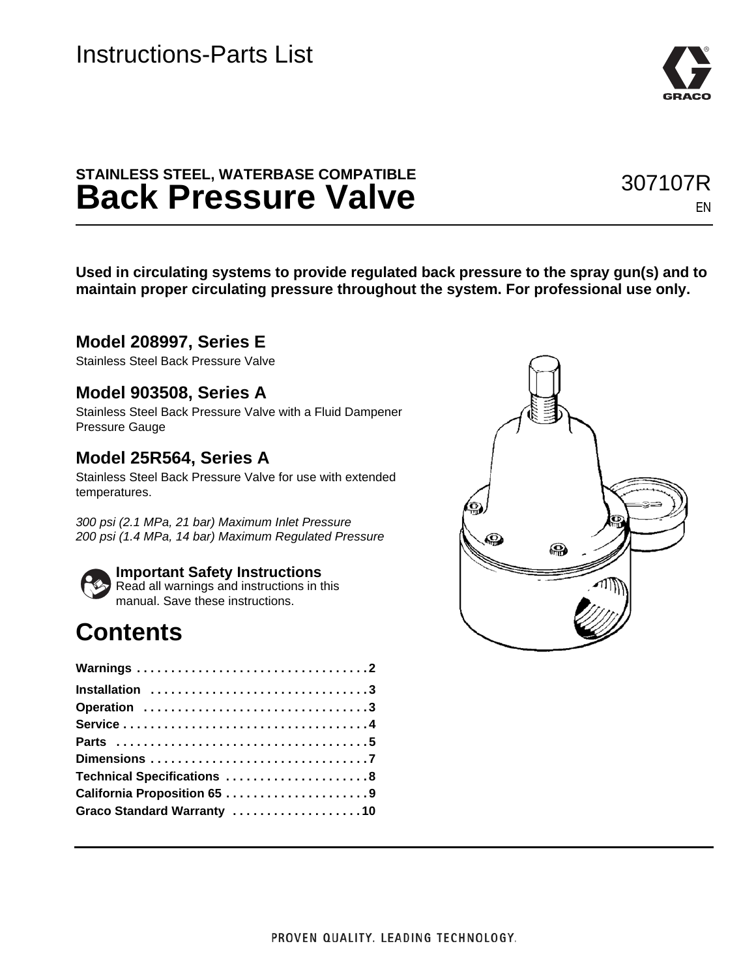### **STAINLESS STEEL, WATERBASE COMPATIBLE Back Pressure Valve**

**Used in circulating systems to provide regulated back pressure to the spray gun(s) and to maintain proper circulating pressure throughout the system. For professional use only.**

### **Model 208997, Series E**

Stainless Steel Back Pressure Valve

### **Model 903508, Series A**

Stainless Steel Back Pressure Valve with a Fluid Dampener Pressure Gauge

### **Model 25R564, Series A**

Stainless Steel Back Pressure Valve for use with extended temperatures.

*300 psi (2.1 MPa, 21 bar) Maximum Inlet Pressure 200 psi (1.4 MPa, 14 bar) Maximum Regulated Pressure*



#### **Important Safety Instructions**

Read all warnings and instructions in this manual. Save these instructions.

### **Contents**

| Installation 3              |
|-----------------------------|
| Operation 3                 |
|                             |
|                             |
|                             |
| Technical Specifications 8  |
| California Proposition 65 9 |
| Graco Standard Warranty 10  |





307107R

EN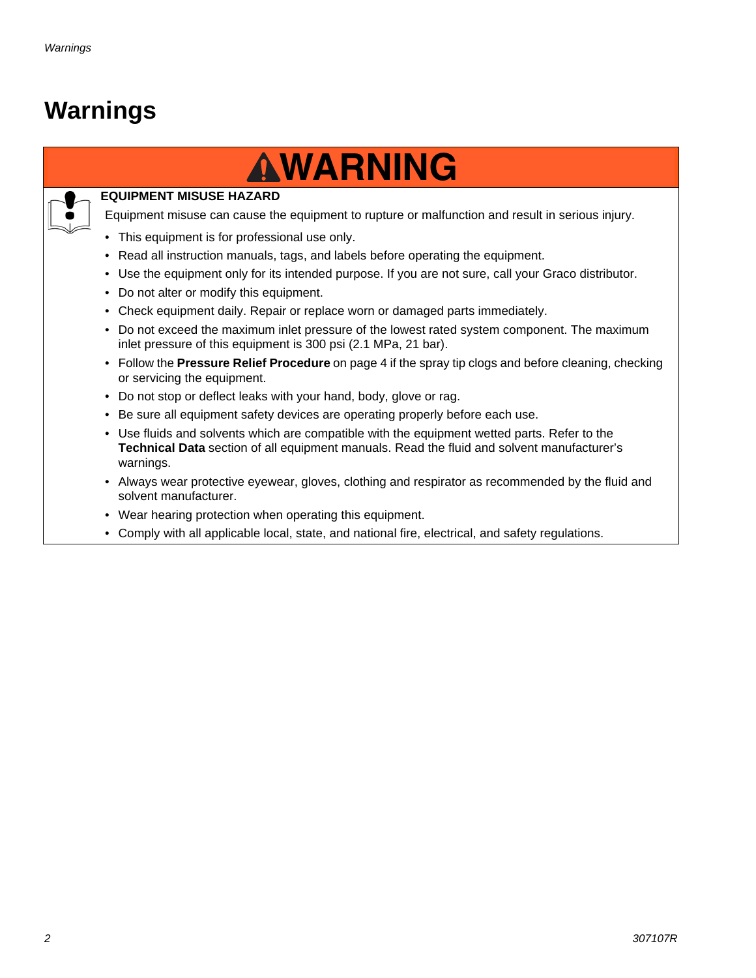## <span id="page-1-0"></span>**Warnings**

# **WARNING WARNING**



#### **EQUIPMENT MISUSE HAZARD**

Equipment misuse can cause the equipment to rupture or malfunction and result in serious injury.

- This equipment is for professional use only.
- Read all instruction manuals, tags, and labels before operating the equipment.
- Use the equipment only for its intended purpose. If you are not sure, call your Graco distributor.
- Do not alter or modify this equipment.
- Check equipment daily. Repair or replace worn or damaged parts immediately.
- Do not exceed the maximum inlet pressure of the lowest rated system component. The maximum inlet pressure of this equipment is 300 psi (2.1 MPa, 21 bar).
- Follow the **Pressure Relief Procedure** on page 4 if the spray tip clogs and before cleaning, checking or servicing the equipment.
- Do not stop or deflect leaks with your hand, body, glove or rag.
- Be sure all equipment safety devices are operating properly before each use.
- Use fluids and solvents which are compatible with the equipment wetted parts. Refer to the **Technical Data** section of all equipment manuals. Read the fluid and solvent manufacturer's warnings.
- Always wear protective eyewear, gloves, clothing and respirator as recommended by the fluid and solvent manufacturer.
- Wear hearing protection when operating this equipment.
- Comply with all applicable local, state, and national fire, electrical, and safety regulations.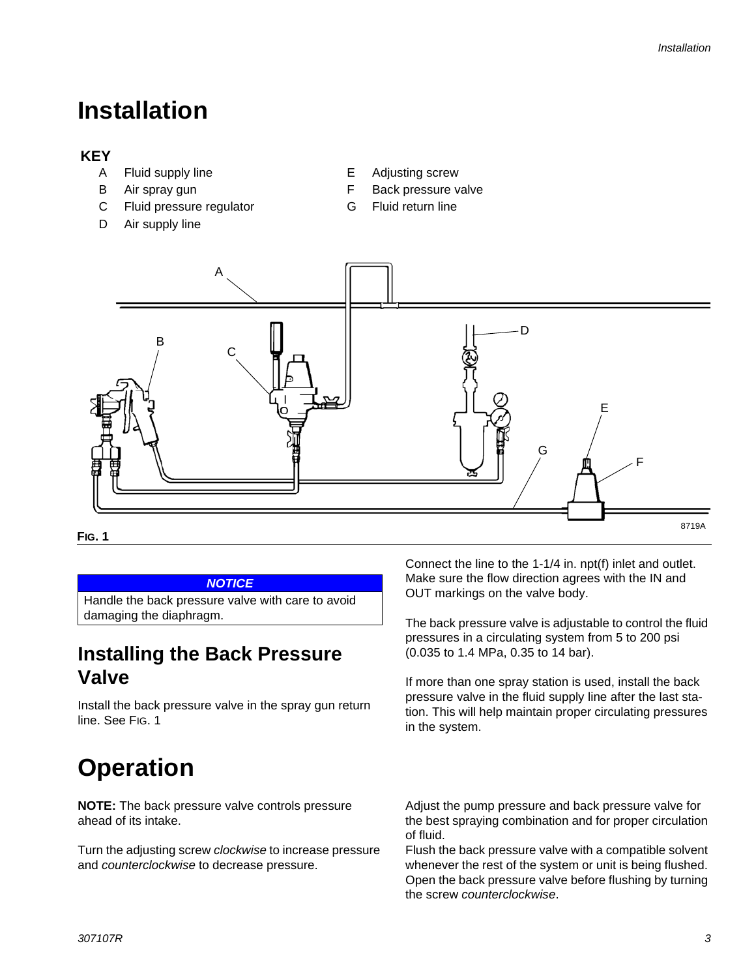## <span id="page-2-0"></span>**Installation**

### **KEY**

- A Fluid supply line **E** Adjusting screw
- 
- C Fluid pressure regulator G Fluid return line
- D Air supply line
- 
- B Air spray gun **F** Back pressure valve
	-



#### *NOTICE*

<span id="page-2-2"></span>Handle the back pressure valve with care to avoid damaging the diaphragm.

### **Installing the Back Pressure Valve**

Install the back pressure valve in the spray gun return line. See [FIG. 1](#page-2-2)

## <span id="page-2-1"></span>**Operation**

**NOTE:** The back pressure valve controls pressure ahead of its intake.

Turn the adjusting screw *clockwise* to increase pressure and *counterclockwise* to decrease pressure.

Connect the line to the 1-1/4 in. npt(f) inlet and outlet. Make sure the flow direction agrees with the IN and OUT markings on the valve body.

The back pressure valve is adjustable to control the fluid pressures in a circulating system from 5 to 200 psi (0.035 to 1.4 MPa, 0.35 to 14 bar).

If more than one spray station is used, install the back pressure valve in the fluid supply line after the last station. This will help maintain proper circulating pressures in the system.

Adjust the pump pressure and back pressure valve for the best spraying combination and for proper circulation of fluid.

Flush the back pressure valve with a compatible solvent whenever the rest of the system or unit is being flushed. Open the back pressure valve before flushing by turning the screw *counterclockwise*.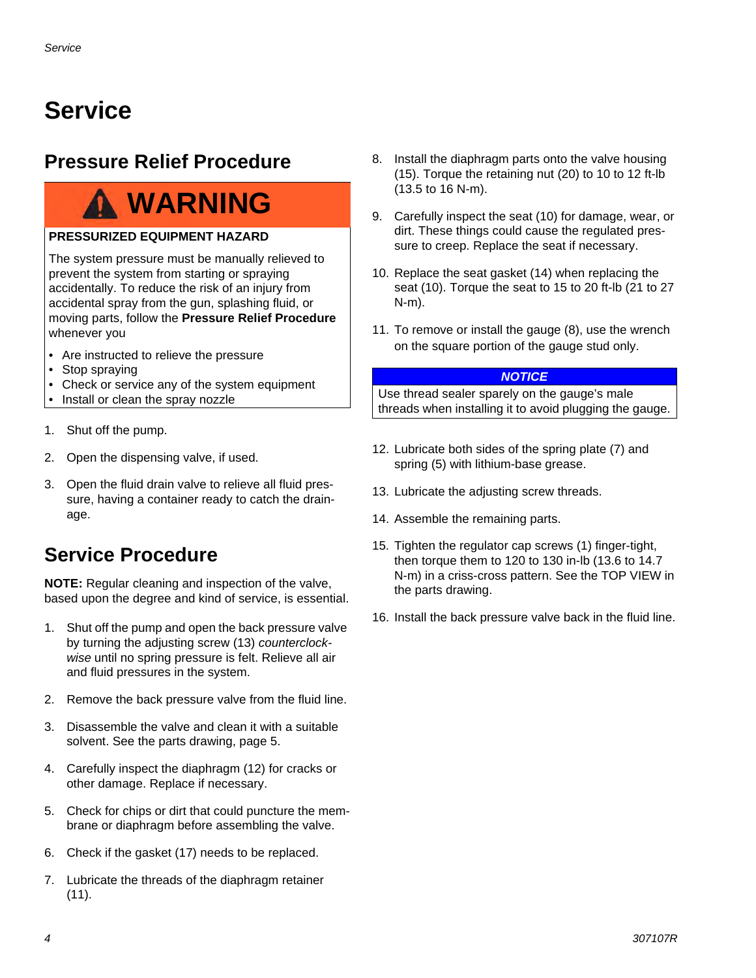## <span id="page-3-0"></span>**Service**

### **Pressure Relief Procedure**

## **WARNING**

#### **PRESSURIZED EQUIPMENT HAZARD**

The system pressure must be manually relieved to prevent the system from starting or spraying accidentally. To reduce the risk of an injury from accidental spray from the gun, splashing fluid, or moving parts, follow the **Pressure Relief Procedure** whenever you

- Are instructed to relieve the pressure
- Stop spraying
- Check or service any of the system equipment
- Install or clean the spray nozzle
- 1. Shut off the pump.
- 2. Open the dispensing valve, if used.
- 3. Open the fluid drain valve to relieve all fluid pressure, having a container ready to catch the drainage.

### **Service Procedure**

**NOTE:** Regular cleaning and inspection of the valve, based upon the degree and kind of service, is essential.

- 1. Shut off the pump and open the back pressure valve by turning the adjusting screw (13) *counterclockwise* until no spring pressure is felt. Relieve all air and fluid pressures in the system.
- 2. Remove the back pressure valve from the fluid line.
- 3. Disassemble the valve and clean it with a suitable solvent. See the parts drawing, page 5.
- 4. Carefully inspect the diaphragm (12) for cracks or other damage. Replace if necessary.
- 5. Check for chips or dirt that could puncture the membrane or diaphragm before assembling the valve.
- 6. Check if the gasket (17) needs to be replaced.
- 7. Lubricate the threads of the diaphragm retainer (11).
- 8. Install the diaphragm parts onto the valve housing (15). Torque the retaining nut (20) to 10 to 12 ft-lb (13.5 to 16 N-m).
- 9. Carefully inspect the seat (10) for damage, wear, or dirt. These things could cause the regulated pressure to creep. Replace the seat if necessary.
- 10. Replace the seat gasket (14) when replacing the seat (10). Torque the seat to 15 to 20 ft-lb (21 to 27 N-m).
- 11. To remove or install the gauge (8), use the wrench on the square portion of the gauge stud only.

#### *NOTICE*

Use thread sealer sparely on the gauge's male threads when installing it to avoid plugging the gauge.

- 12. Lubricate both sides of the spring plate (7) and spring (5) with lithium-base grease.
- 13. Lubricate the adjusting screw threads.
- 14. Assemble the remaining parts.
- 15. Tighten the regulator cap screws (1) finger-tight, then torque them to 120 to 130 in-lb (13.6 to 14.7 N-m) in a criss-cross pattern. See the TOP VIEW in the parts drawing.
- 16. Install the back pressure valve back in the fluid line.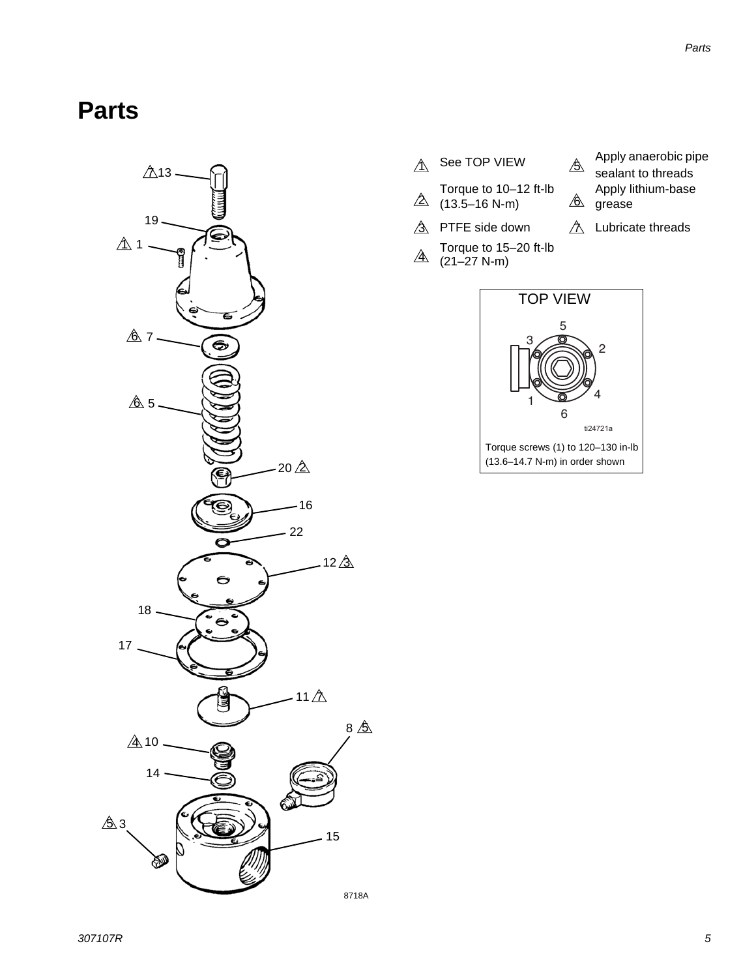### <span id="page-4-0"></span>**Parts**



- 
- Torque to 10–12 ft-lb  $\Delta$  (13.5–16 N-m)  $\hat{\mathbb{6}}$
- $\hat{3}$  PTFE side down
- Torque to 15–20 ft-lb  $\overline{4}$  (21–27 N-m)
- $\hat{A}$  See TOP VIEW  $\hat{B}$  apply anaerobic pipe
	- sealant to threads Apply lithium-base  $\hat{\mathbb{A}}$  grease
	- $\hat{\triangle}$  Lubricate threads

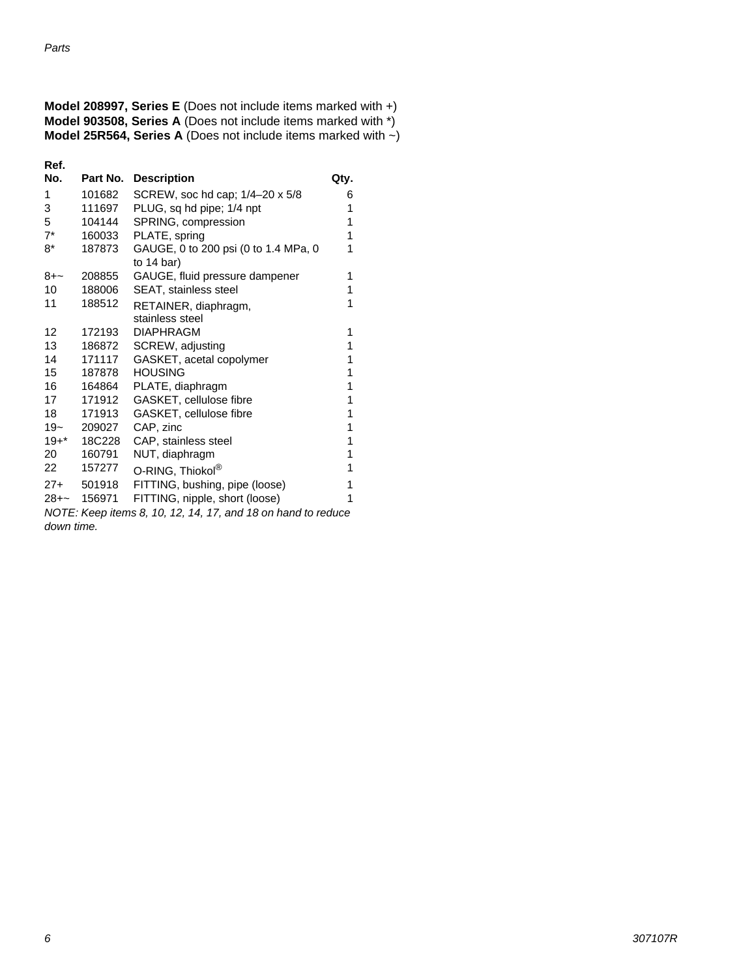| <b>Model 208997, Series E</b> (Does not include items marked with $+$ )    |  |
|----------------------------------------------------------------------------|--|
| <b>Model 903508, Series A</b> (Does not include items marked with *)       |  |
| <b>Model 25R564, Series A</b> (Does not include items marked with $\sim$ ) |  |

| Ref.                                                         |             |                                           |      |  |
|--------------------------------------------------------------|-------------|-------------------------------------------|------|--|
| No.                                                          | Part No.    | <b>Description</b>                        | Qty. |  |
| 1                                                            | 101682      | SCREW, soc hd cap; 1/4-20 x 5/8           | 6    |  |
| 3                                                            | 111697      | PLUG, sq hd pipe; 1/4 npt<br>1            |      |  |
| 5                                                            | 104144      | SPRING, compression<br>1                  |      |  |
| $7^*$                                                        | 160033      | PLATE, spring<br>1                        |      |  |
| $8*$                                                         | 187873      | GAUGE, 0 to 200 psi (0 to 1.4 MPa, 0<br>1 |      |  |
|                                                              |             | to $14$ bar)                              |      |  |
| 8+~                                                          | 208855      | GAUGE, fluid pressure dampener            | 1    |  |
| 10                                                           | 188006      | SEAT, stainless steel<br>1                |      |  |
| 11                                                           | 188512      | RETAINER, diaphragm,                      | 1    |  |
|                                                              |             | stainless steel                           |      |  |
| 12                                                           | 172193      | <b>DIAPHRAGM</b>                          | 1    |  |
| 13                                                           | 186872      | SCREW, adjusting                          | 1    |  |
| 14                                                           | 171117      | GASKET, acetal copolymer<br>1             |      |  |
| 15                                                           | 187878      | <b>HOUSING</b><br>1                       |      |  |
| 16                                                           | 164864      | 1<br>PLATE, diaphragm                     |      |  |
| 17                                                           | 171912      | GASKET, cellulose fibre<br>1              |      |  |
| 18                                                           | 171913      | GASKET, cellulose fibre<br>1              |      |  |
| $19-$                                                        | 209027      | CAP, zinc                                 | 1    |  |
|                                                              | 19+* 18C228 | CAP, stainless steel                      | 1    |  |
| 20                                                           | 160791      | NUT, diaphragm<br>1                       |      |  |
| 22                                                           | 157277      | 1<br>O-RING, Thiokol®                     |      |  |
|                                                              | 27+ 501918  | FITTING, bushing, pipe (loose)<br>1       |      |  |
|                                                              | 28+~ 156971 | FITTING, nipple, short (loose)<br>1       |      |  |
| NOTE: Keep items 8, 10, 12, 14, 17, and 18 on hand to reduce |             |                                           |      |  |
| down time.                                                   |             |                                           |      |  |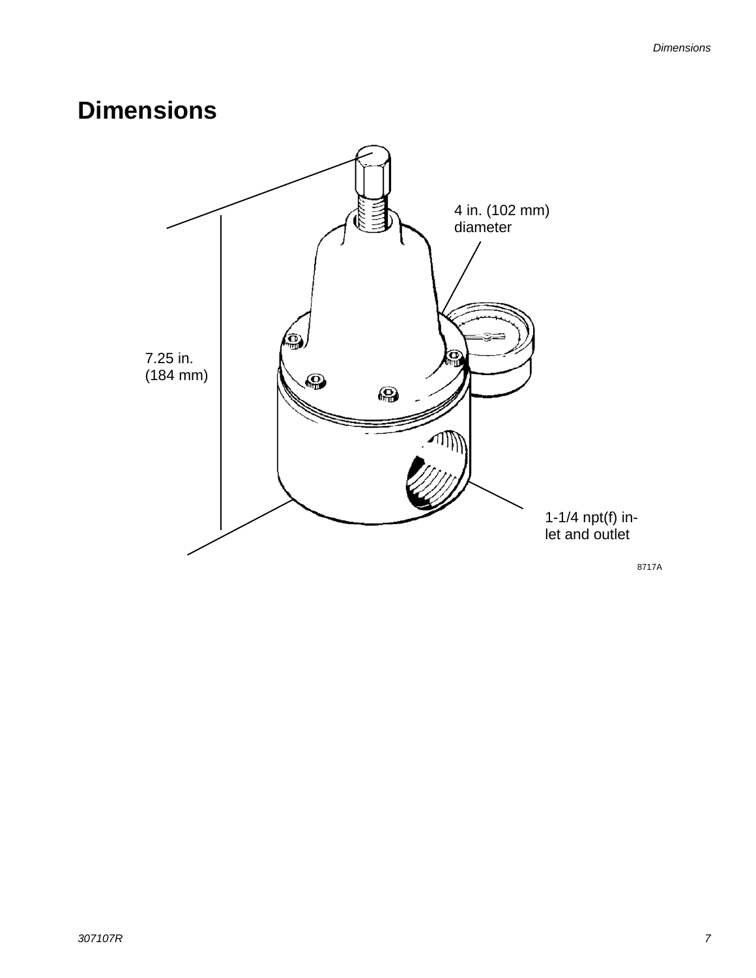## <span id="page-6-0"></span>**Dimensions**

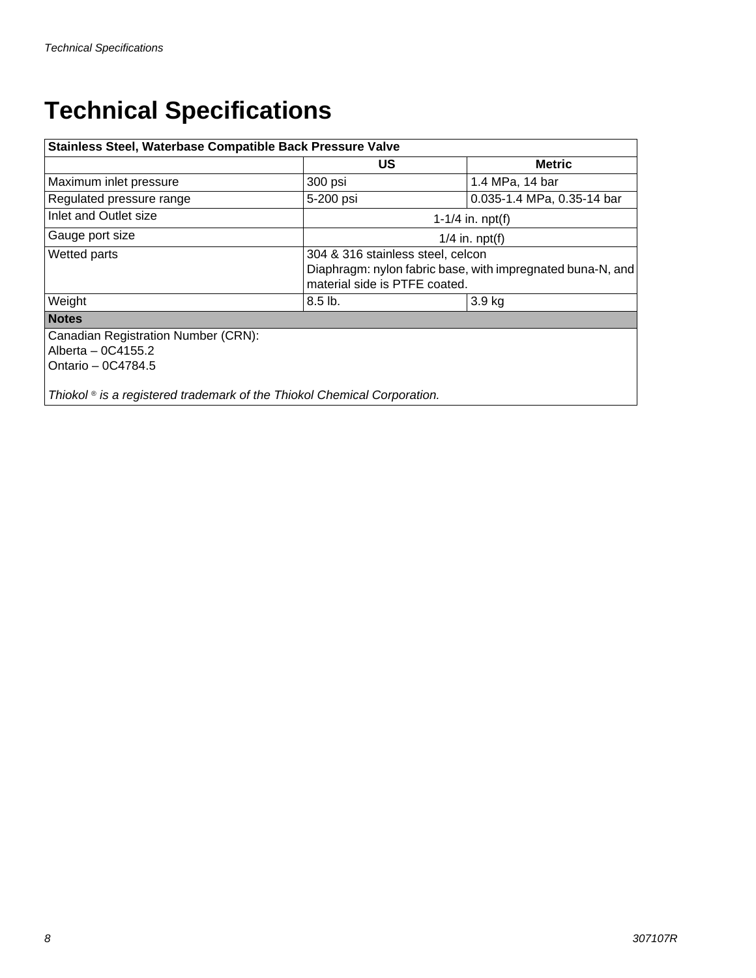## <span id="page-7-0"></span>**Technical Specifications**

| Stainless Steel, Waterbase Compatible Back Pressure Valve                              |                                                                                                                                  |                            |  |  |
|----------------------------------------------------------------------------------------|----------------------------------------------------------------------------------------------------------------------------------|----------------------------|--|--|
|                                                                                        | US.                                                                                                                              | <b>Metric</b>              |  |  |
| Maximum inlet pressure                                                                 | 300 psi                                                                                                                          | 1.4 MPa, 14 bar            |  |  |
| Regulated pressure range                                                               | 5-200 psi                                                                                                                        | 0.035-1.4 MPa, 0.35-14 bar |  |  |
| Inlet and Outlet size                                                                  | 1-1/4 in. $npt(f)$                                                                                                               |                            |  |  |
| Gauge port size                                                                        | $1/4$ in. npt(f)                                                                                                                 |                            |  |  |
| <b>Wetted parts</b>                                                                    | 304 & 316 stainless steel, celcon<br>Diaphragm: nylon fabric base, with impregnated buna-N, and<br>material side is PTFE coated. |                            |  |  |
| Weight                                                                                 | $8.5$ lb.                                                                                                                        | 3.9 kg                     |  |  |
| <b>Notes</b>                                                                           |                                                                                                                                  |                            |  |  |
| <b>Canadian Registration Number (CRN):</b><br>Alberta - 0C4155.2<br>Ontario - 0C4784.5 |                                                                                                                                  |                            |  |  |
| Thiokol <sup>®</sup> is a registered trademark of the Thiokol Chemical Corporation.    |                                                                                                                                  |                            |  |  |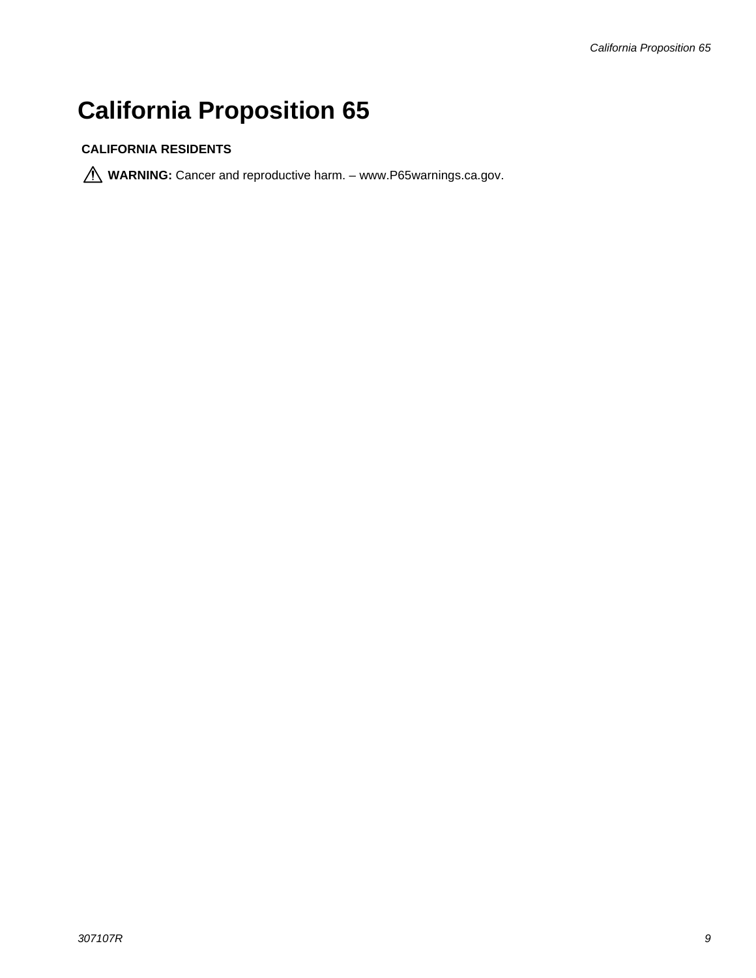## <span id="page-8-0"></span>**California Proposition 65**

#### **CALIFORNIA RESIDENTS**

WARNING: Cancer and reproductive harm. - www.P65warnings.ca.gov.